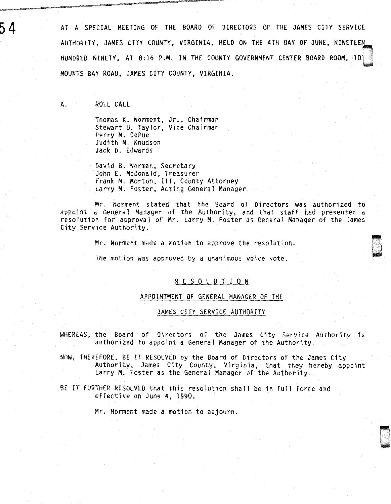AT A SPECIAL MEETING OF THE BOARD OF DIRECTORS OF THE JAMES CITY SERVICE AUTHORITY, JAMES CITY COUNTY, VIRGINIA, HELO ON THE 4TH DAY OF JUNE, NINETEEN HUNDRED NINETY, AT 8:16 P.M. IN THE COUNTY GOVERNMENT CENTER BOARD ROOM, 100 MOUNTS BAY ROAD, JAMES CITY COUNTY, VIRGINIA.

A. ROLL CALL

Thomas K. Norment, Jr., Chairman Stewart U. Taylor, Vice Chairman Perry M. OePue Judith N. Knudson Jack D. Edwards

David B. Norman, Secretary John E. McDonald, Treasurer Frank M. Morton, III, County Attorney Larry M. Foster, Acting General Manager

Mr. Norment stated that the Board of Directors was authorized to appoint a General Manager of the Authority, and that staff had presented a resolution for approval of Mr. Larry M. Foster as General Manager of the James City Service Authority.

> ~~~ **\*\*\*\*\***

Mr. Norment made a motion to approve the resolution.

The motion was approved by a unanimous voice vote.

## R E S 0 L U T I 0 N

## APPOINTMENT OF GENERAL MANAGER OF THE

## JAMES CITY SERVICE AUTHORITY

WHEREAS, the Board of Directors of the James City Service Authority is authorized to appoint a General Manager of the Authority.

NOW, THEREFORE, BE IT RESOLVED by the Board of Directors of the James City Authority, James City County, Virginia, that they hereby appoint Larry M. Foster as the General Manager of the Authority.

BE IT FURTHER RESOLVED that this resolution shall be in full force and effective on June 4, 1990.

Mr. Norment made a motion to adjourn.